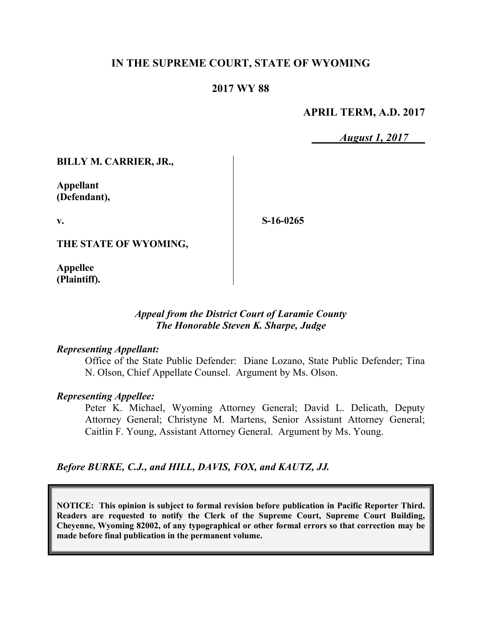## **IN THE SUPREME COURT, STATE OF WYOMING**

### **2017 WY 88**

### **APRIL TERM, A.D. 2017**

*August 1, 2017*

**BILLY M. CARRIER, JR.,**

**Appellant (Defendant),**

**v.**

**S-16-0265**

**THE STATE OF WYOMING,**

**Appellee (Plaintiff).**

#### *Appeal from the District Court of Laramie County The Honorable Steven K. Sharpe, Judge*

#### *Representing Appellant:*

Office of the State Public Defender: Diane Lozano, State Public Defender; Tina N. Olson, Chief Appellate Counsel. Argument by Ms. Olson.

#### *Representing Appellee:*

Peter K. Michael, Wyoming Attorney General; David L. Delicath, Deputy Attorney General; Christyne M. Martens, Senior Assistant Attorney General; Caitlin F. Young, Assistant Attorney General. Argument by Ms. Young.

#### *Before BURKE, C.J., and HILL, DAVIS, FOX, and KAUTZ, JJ.*

**NOTICE: This opinion is subject to formal revision before publication in Pacific Reporter Third. Readers are requested to notify the Clerk of the Supreme Court, Supreme Court Building, Cheyenne, Wyoming 82002, of any typographical or other formal errors so that correction may be made before final publication in the permanent volume.**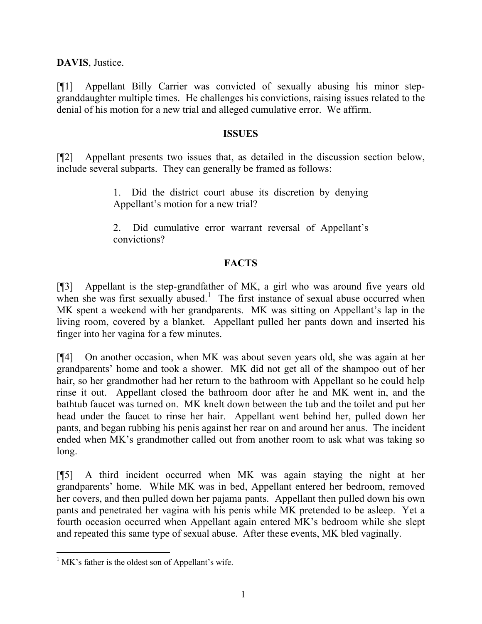**DAVIS**, Justice.

[¶1] Appellant Billy Carrier was convicted of sexually abusing his minor stepgranddaughter multiple times. He challenges his convictions, raising issues related to the denial of his motion for a new trial and alleged cumulative error. We affirm.

#### **ISSUES**

[¶2] Appellant presents two issues that, as detailed in the discussion section below, include several subparts. They can generally be framed as follows:

> 1. Did the district court abuse its discretion by denying Appellant's motion for a new trial?

> 2. Did cumulative error warrant reversal of Appellant's convictions?

## **FACTS**

[¶3] Appellant is the step-grandfather of MK, a girl who was around five years old when she was first sexually abused.<sup>1</sup> The first instance of sexual abuse occurred when MK spent a weekend with her grandparents. MK was sitting on Appellant's lap in the living room, covered by a blanket. Appellant pulled her pants down and inserted his finger into her vagina for a few minutes.

[¶4] On another occasion, when MK was about seven years old, she was again at her grandparents' home and took a shower. MK did not get all of the shampoo out of her hair, so her grandmother had her return to the bathroom with Appellant so he could help rinse it out. Appellant closed the bathroom door after he and MK went in, and the bathtub faucet was turned on. MK knelt down between the tub and the toilet and put her head under the faucet to rinse her hair. Appellant went behind her, pulled down her pants, and began rubbing his penis against her rear on and around her anus. The incident ended when MK's grandmother called out from another room to ask what was taking so long.

[¶5] A third incident occurred when MK was again staying the night at her grandparents' home. While MK was in bed, Appellant entered her bedroom, removed her covers, and then pulled down her pajama pants. Appellant then pulled down his own pants and penetrated her vagina with his penis while MK pretended to be asleep. Yet a fourth occasion occurred when Appellant again entered MK's bedroom while she slept and repeated this same type of sexual abuse. After these events, MK bled vaginally.

 $<sup>1</sup>$  MK's father is the oldest son of Appellant's wife.</sup>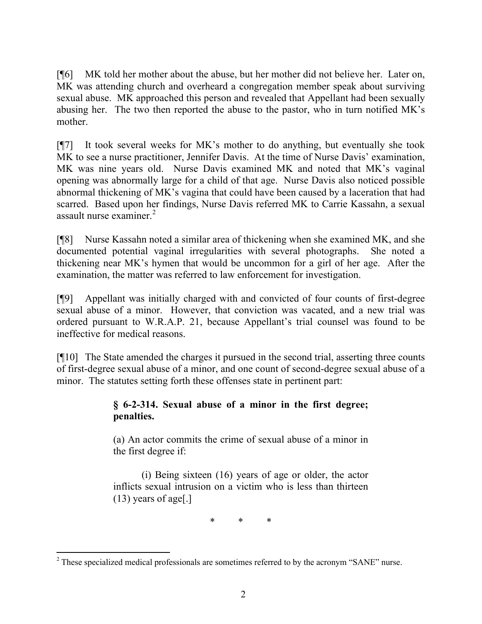[¶6] MK told her mother about the abuse, but her mother did not believe her. Later on, MK was attending church and overheard a congregation member speak about surviving sexual abuse. MK approached this person and revealed that Appellant had been sexually abusing her. The two then reported the abuse to the pastor, who in turn notified MK's mother.

[¶7] It took several weeks for MK's mother to do anything, but eventually she took MK to see a nurse practitioner, Jennifer Davis. At the time of Nurse Davis' examination, MK was nine years old. Nurse Davis examined MK and noted that MK's vaginal opening was abnormally large for a child of that age. Nurse Davis also noticed possible abnormal thickening of MK's vagina that could have been caused by a laceration that had scarred. Based upon her findings, Nurse Davis referred MK to Carrie Kassahn, a sexual assault nurse examiner. $2$ 

[¶8] Nurse Kassahn noted a similar area of thickening when she examined MK, and she documented potential vaginal irregularities with several photographs. She noted a thickening near MK's hymen that would be uncommon for a girl of her age. After the examination, the matter was referred to law enforcement for investigation.

[¶9] Appellant was initially charged with and convicted of four counts of first-degree sexual abuse of a minor. However, that conviction was vacated, and a new trial was ordered pursuant to W.R.A.P. 21, because Appellant's trial counsel was found to be ineffective for medical reasons.

[¶10] The State amended the charges it pursued in the second trial, asserting three counts of first-degree sexual abuse of a minor, and one count of second-degree sexual abuse of a minor. The statutes setting forth these offenses state in pertinent part:

# **§ 6-2-314. Sexual abuse of a minor in the first degree; penalties.**

(a) An actor commits the crime of sexual abuse of a minor in the first degree if:

(i) Being sixteen (16) years of age or older, the actor inflicts sexual intrusion on a victim who is less than thirteen (13) years of age[.]

\* \* \*

<sup>&</sup>lt;sup>2</sup> These specialized medical professionals are sometimes referred to by the acronym "SANE" nurse.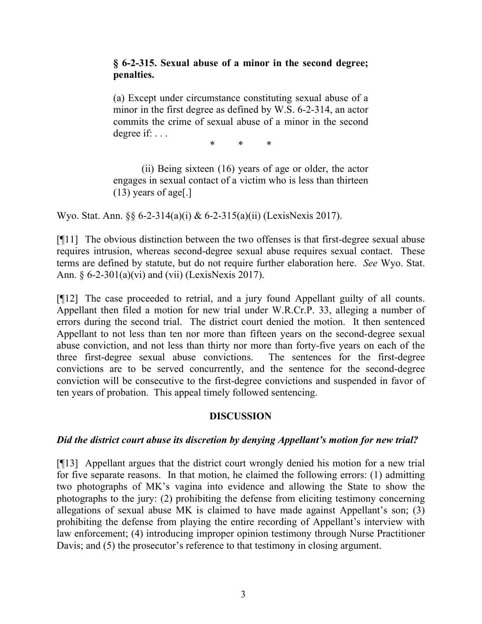### **§ 6-2-315. Sexual abuse of a minor in the second degree; penalties.**

(a) Except under circumstance constituting sexual abuse of a minor in the first degree as defined by W.S. 6-2-314, an actor commits the crime of sexual abuse of a minor in the second degree if: . . .

\* \* \*

(ii) Being sixteen (16) years of age or older, the actor engages in sexual contact of a victim who is less than thirteen (13) years of age[.]

Wyo. Stat. Ann. §§ 6-2-314(a)(i) & 6-2-315(a)(ii) (LexisNexis 2017).

[¶11] The obvious distinction between the two offenses is that first-degree sexual abuse requires intrusion, whereas second-degree sexual abuse requires sexual contact. These terms are defined by statute, but do not require further elaboration here. *See* Wyo. Stat. Ann. § 6-2-301(a)(vi) and (vii) (LexisNexis 2017).

[¶12] The case proceeded to retrial, and a jury found Appellant guilty of all counts. Appellant then filed a motion for new trial under W.R.Cr.P. 33, alleging a number of errors during the second trial. The district court denied the motion. It then sentenced Appellant to not less than ten nor more than fifteen years on the second-degree sexual abuse conviction, and not less than thirty nor more than forty-five years on each of the three first-degree sexual abuse convictions. The sentences for the first-degree convictions are to be served concurrently, and the sentence for the second-degree conviction will be consecutive to the first-degree convictions and suspended in favor of ten years of probation. This appeal timely followed sentencing.

## **DISCUSSION**

# *Did the district court abuse its discretion by denying Appellant's motion for new trial?*

[¶13] Appellant argues that the district court wrongly denied his motion for a new trial for five separate reasons. In that motion, he claimed the following errors: (1) admitting two photographs of MK's vagina into evidence and allowing the State to show the photographs to the jury: (2) prohibiting the defense from eliciting testimony concerning allegations of sexual abuse MK is claimed to have made against Appellant's son; (3) prohibiting the defense from playing the entire recording of Appellant's interview with law enforcement; (4) introducing improper opinion testimony through Nurse Practitioner Davis; and (5) the prosecutor's reference to that testimony in closing argument.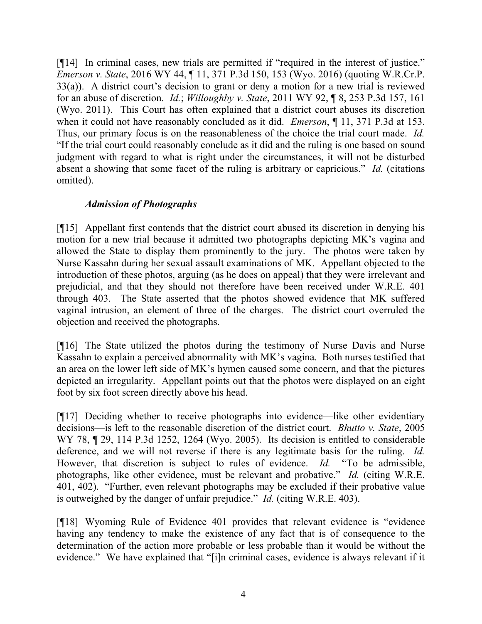[¶14] In criminal cases, new trials are permitted if "required in the interest of justice." *Emerson v. State*, 2016 WY 44, ¶ 11, 371 P.3d 150, 153 (Wyo. 2016) (quoting W.R.Cr.P. 33(a)). A district court's decision to grant or deny a motion for a new trial is reviewed for an abuse of discretion. *Id.*; *Willoughby v. State*, 2011 WY 92, ¶ 8, 253 P.3d 157, 161 (Wyo. 2011). This Court has often explained that a district court abuses its discretion when it could not have reasonably concluded as it did. *Emerson*, ¶ 11, 371 P.3d at 153. Thus, our primary focus is on the reasonableness of the choice the trial court made. *Id.* "If the trial court could reasonably conclude as it did and the ruling is one based on sound judgment with regard to what is right under the circumstances, it will not be disturbed absent a showing that some facet of the ruling is arbitrary or capricious." *Id.* (citations omitted).

## *Admission of Photographs*

[¶15] Appellant first contends that the district court abused its discretion in denying his motion for a new trial because it admitted two photographs depicting MK's vagina and allowed the State to display them prominently to the jury. The photos were taken by Nurse Kassahn during her sexual assault examinations of MK. Appellant objected to the introduction of these photos, arguing (as he does on appeal) that they were irrelevant and prejudicial, and that they should not therefore have been received under W.R.E. 401 through 403. The State asserted that the photos showed evidence that MK suffered vaginal intrusion, an element of three of the charges. The district court overruled the objection and received the photographs.

[¶16] The State utilized the photos during the testimony of Nurse Davis and Nurse Kassahn to explain a perceived abnormality with MK's vagina. Both nurses testified that an area on the lower left side of MK's hymen caused some concern, and that the pictures depicted an irregularity. Appellant points out that the photos were displayed on an eight foot by six foot screen directly above his head.

[¶17] Deciding whether to receive photographs into evidence—like other evidentiary decisions—is left to the reasonable discretion of the district court. *Bhutto v. State*, 2005 WY 78,  $\parallel$  29, 114 P.3d 1252, 1264 (Wyo. 2005). Its decision is entitled to considerable deference, and we will not reverse if there is any legitimate basis for the ruling. *Id.* However, that discretion is subject to rules of evidence. *Id.* "To be admissible, photographs, like other evidence, must be relevant and probative." *Id.* (citing W.R.E. 401, 402). "Further, even relevant photographs may be excluded if their probative value is outweighed by the danger of unfair prejudice." *Id.* (citing W.R.E. 403).

[¶18] Wyoming Rule of Evidence 401 provides that relevant evidence is "evidence having any tendency to make the existence of any fact that is of consequence to the determination of the action more probable or less probable than it would be without the evidence." We have explained that "[i]n criminal cases, evidence is always relevant if it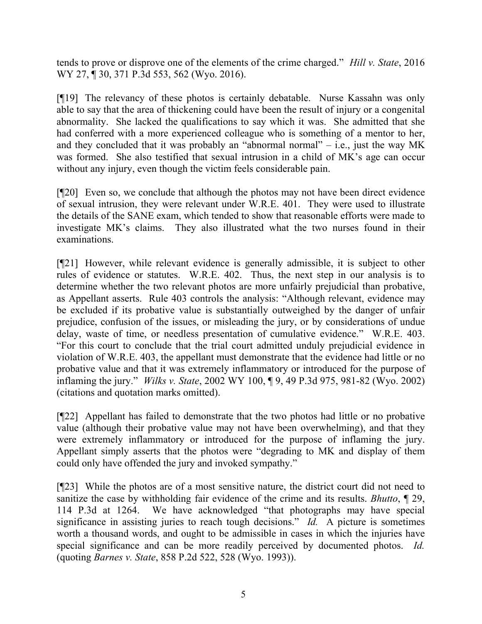tends to prove or disprove one of the elements of the crime charged." *Hill v. State*, 2016 WY 27, ¶ 30, 371 P.3d 553, 562 (Wyo. 2016).

[¶19] The relevancy of these photos is certainly debatable. Nurse Kassahn was only able to say that the area of thickening could have been the result of injury or a congenital abnormality. She lacked the qualifications to say which it was. She admitted that she had conferred with a more experienced colleague who is something of a mentor to her, and they concluded that it was probably an "abnormal normal"  $-$  i.e., just the way MK was formed. She also testified that sexual intrusion in a child of MK's age can occur without any injury, even though the victim feels considerable pain.

[¶20] Even so, we conclude that although the photos may not have been direct evidence of sexual intrusion, they were relevant under W.R.E. 401. They were used to illustrate the details of the SANE exam, which tended to show that reasonable efforts were made to investigate MK's claims. They also illustrated what the two nurses found in their examinations.

[¶21] However, while relevant evidence is generally admissible, it is subject to other rules of evidence or statutes. W.R.E. 402. Thus, the next step in our analysis is to determine whether the two relevant photos are more unfairly prejudicial than probative, as Appellant asserts. Rule 403 controls the analysis: "Although relevant, evidence may be excluded if its probative value is substantially outweighed by the danger of unfair prejudice, confusion of the issues, or misleading the jury, or by considerations of undue delay, waste of time, or needless presentation of cumulative evidence." W.R.E. 403. "For this court to conclude that the trial court admitted unduly prejudicial evidence in violation of W.R.E. 403, the appellant must demonstrate that the evidence had little or no probative value and that it was extremely inflammatory or introduced for the purpose of inflaming the jury." *Wilks v. State*, 2002 WY 100, ¶ 9, 49 P.3d 975, 981-82 (Wyo. 2002) (citations and quotation marks omitted).

[¶22] Appellant has failed to demonstrate that the two photos had little or no probative value (although their probative value may not have been overwhelming), and that they were extremely inflammatory or introduced for the purpose of inflaming the jury. Appellant simply asserts that the photos were "degrading to MK and display of them could only have offended the jury and invoked sympathy."

[¶23] While the photos are of a most sensitive nature, the district court did not need to sanitize the case by withholding fair evidence of the crime and its results. *Bhutto*, ¶ 29, 114 P.3d at 1264. We have acknowledged "that photographs may have special significance in assisting juries to reach tough decisions." *Id.* A picture is sometimes worth a thousand words, and ought to be admissible in cases in which the injuries have special significance and can be more readily perceived by documented photos. *Id.* (quoting *Barnes v. State*, 858 P.2d 522, 528 (Wyo. 1993)).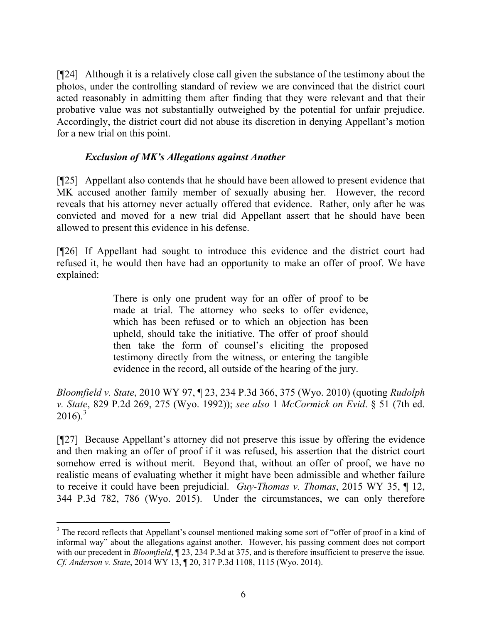[¶24] Although it is a relatively close call given the substance of the testimony about the photos, under the controlling standard of review we are convinced that the district court acted reasonably in admitting them after finding that they were relevant and that their probative value was not substantially outweighed by the potential for unfair prejudice. Accordingly, the district court did not abuse its discretion in denying Appellant's motion for a new trial on this point.

## *Exclusion of MK's Allegations against Another*

[¶25] Appellant also contends that he should have been allowed to present evidence that MK accused another family member of sexually abusing her. However, the record reveals that his attorney never actually offered that evidence. Rather, only after he was convicted and moved for a new trial did Appellant assert that he should have been allowed to present this evidence in his defense.

[¶26] If Appellant had sought to introduce this evidence and the district court had refused it, he would then have had an opportunity to make an offer of proof. We have explained:

> There is only one prudent way for an offer of proof to be made at trial. The attorney who seeks to offer evidence, which has been refused or to which an objection has been upheld, should take the initiative. The offer of proof should then take the form of counsel's eliciting the proposed testimony directly from the witness, or entering the tangible evidence in the record, all outside of the hearing of the jury.

*Bloomfield v. State*, 2010 WY 97, ¶ 23, 234 P.3d 366, 375 (Wyo. 2010) (quoting *Rudolph v. State*, 829 P.2d 269, 275 (Wyo. 1992)); *see also* 1 *McCormick on Evid*. § 51 (7th ed.  $2016$ ).<sup>3</sup>

[¶27] Because Appellant's attorney did not preserve this issue by offering the evidence and then making an offer of proof if it was refused, his assertion that the district court somehow erred is without merit. Beyond that, without an offer of proof, we have no realistic means of evaluating whether it might have been admissible and whether failure to receive it could have been prejudicial. *Guy-Thomas v. Thomas*, 2015 WY 35, ¶ 12, 344 P.3d 782, 786 (Wyo. 2015). Under the circumstances, we can only therefore

<sup>&</sup>lt;sup>3</sup> The record reflects that Appellant's counsel mentioned making some sort of "offer of proof in a kind of informal way" about the allegations against another. However, his passing comment does not comport with our precedent in *Bloomfield*,  $\P$  23, 234 P.3d at 375, and is therefore insufficient to preserve the issue. *Cf. Anderson v. State*, 2014 WY 13, ¶ 20, 317 P.3d 1108, 1115 (Wyo. 2014).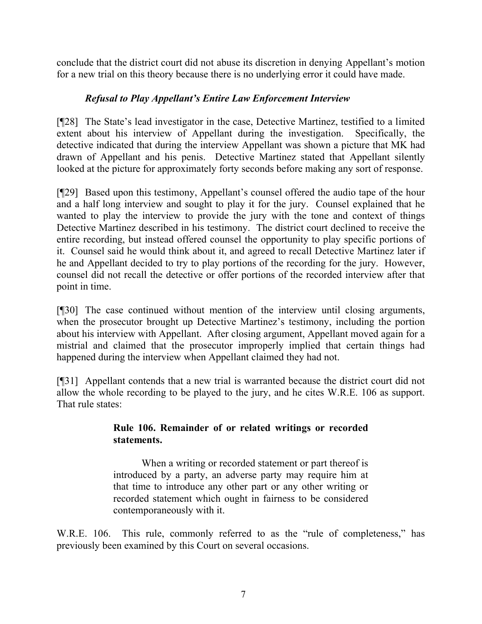conclude that the district court did not abuse its discretion in denying Appellant's motion for a new trial on this theory because there is no underlying error it could have made.

## *Refusal to Play Appellant's Entire Law Enforcement Interview*

[¶28] The State's lead investigator in the case, Detective Martinez, testified to a limited extent about his interview of Appellant during the investigation. Specifically, the detective indicated that during the interview Appellant was shown a picture that MK had drawn of Appellant and his penis. Detective Martinez stated that Appellant silently looked at the picture for approximately forty seconds before making any sort of response.

[¶29] Based upon this testimony, Appellant's counsel offered the audio tape of the hour and a half long interview and sought to play it for the jury. Counsel explained that he wanted to play the interview to provide the jury with the tone and context of things Detective Martinez described in his testimony. The district court declined to receive the entire recording, but instead offered counsel the opportunity to play specific portions of it. Counsel said he would think about it, and agreed to recall Detective Martinez later if he and Appellant decided to try to play portions of the recording for the jury. However, counsel did not recall the detective or offer portions of the recorded interview after that point in time.

[¶30] The case continued without mention of the interview until closing arguments, when the prosecutor brought up Detective Martinez's testimony, including the portion about his interview with Appellant. After closing argument, Appellant moved again for a mistrial and claimed that the prosecutor improperly implied that certain things had happened during the interview when Appellant claimed they had not.

[¶31] Appellant contends that a new trial is warranted because the district court did not allow the whole recording to be played to the jury, and he cites W.R.E. 106 as support. That rule states:

## **Rule 106. Remainder of or related writings or recorded statements.**

When a writing or recorded statement or part thereof is introduced by a party, an adverse party may require him at that time to introduce any other part or any other writing or recorded statement which ought in fairness to be considered contemporaneously with it.

W.R.E. 106. This rule, commonly referred to as the "rule of completeness," has previously been examined by this Court on several occasions.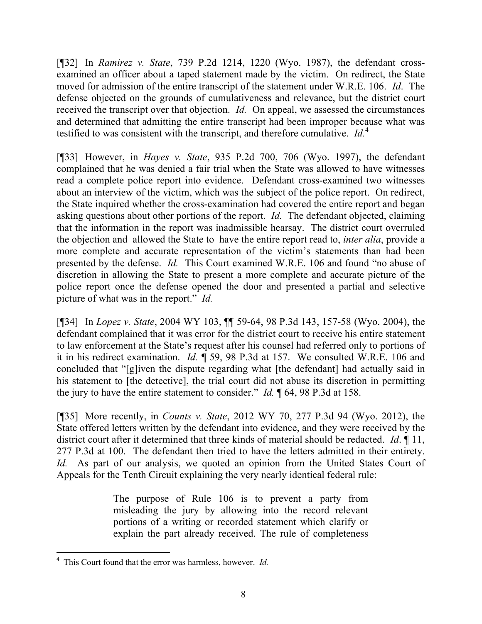[¶32] In *Ramirez v. State*, 739 P.2d 1214, 1220 (Wyo. 1987), the defendant crossexamined an officer about a taped statement made by the victim. On redirect, the State moved for admission of the entire transcript of the statement under W.R.E. 106. *Id*. The defense objected on the grounds of cumulativeness and relevance, but the district court received the transcript over that objection. *Id.* On appeal, we assessed the circumstances and determined that admitting the entire transcript had been improper because what was testified to was consistent with the transcript, and therefore cumulative. *Id.*<sup>4</sup>

[¶33] However, in *Hayes v. State*, 935 P.2d 700, 706 (Wyo. 1997), the defendant complained that he was denied a fair trial when the State was allowed to have witnesses read a complete police report into evidence. Defendant cross-examined two witnesses about an interview of the victim, which was the subject of the police report. On redirect, the State inquired whether the cross-examination had covered the entire report and began asking questions about other portions of the report. *Id.* The defendant objected, claiming that the information in the report was inadmissible hearsay. The district court overruled the objection and allowed the State to have the entire report read to, *inter alia*, provide a more complete and accurate representation of the victim's statements than had been presented by the defense. *Id.* This Court examined W.R.E. 106 and found "no abuse of discretion in allowing the State to present a more complete and accurate picture of the police report once the defense opened the door and presented a partial and selective picture of what was in the report." *Id.*

[¶34] In *Lopez v. State*, 2004 WY 103, ¶¶ 59-64, 98 P.3d 143, 157-58 (Wyo. 2004), the defendant complained that it was error for the district court to receive his entire statement to law enforcement at the State's request after his counsel had referred only to portions of it in his redirect examination. *Id.* ¶ 59, 98 P.3d at 157. We consulted W.R.E. 106 and concluded that "[g]iven the dispute regarding what [the defendant] had actually said in his statement to [the detective], the trial court did not abuse its discretion in permitting the jury to have the entire statement to consider." *Id.* ¶ 64, 98 P.3d at 158.

[¶35] More recently, in *Counts v. State*, 2012 WY 70, 277 P.3d 94 (Wyo. 2012), the State offered letters written by the defendant into evidence, and they were received by the district court after it determined that three kinds of material should be redacted. *Id*. ¶ 11, 277 P.3d at 100. The defendant then tried to have the letters admitted in their entirety. *Id.* As part of our analysis, we quoted an opinion from the United States Court of Appeals for the Tenth Circuit explaining the very nearly identical federal rule:

> The purpose of Rule 106 is to prevent a party from misleading the jury by allowing into the record relevant portions of a writing or recorded statement which clarify or explain the part already received. The rule of completeness

<sup>4</sup> This Court found that the error was harmless, however. *Id.*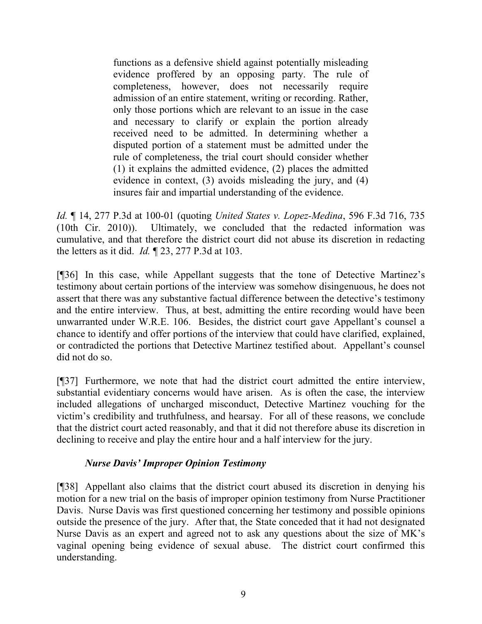functions as a defensive shield against potentially misleading evidence proffered by an opposing party. The rule of completeness, however, does not necessarily require admission of an entire statement, writing or recording. Rather, only those portions which are relevant to an issue in the case and necessary to clarify or explain the portion already received need to be admitted. In determining whether a disputed portion of a statement must be admitted under the rule of completeness, the trial court should consider whether (1) it explains the admitted evidence, (2) places the admitted evidence in context, (3) avoids misleading the jury, and (4) insures fair and impartial understanding of the evidence.

*Id.* ¶ 14, 277 P.3d at 100-01 (quoting *United States v. Lopez-Medina*, 596 F.3d 716, 735 (10th Cir. 2010)). Ultimately, we concluded that the redacted information was cumulative, and that therefore the district court did not abuse its discretion in redacting the letters as it did. *Id.* ¶ 23, 277 P.3d at 103.

[¶36] In this case, while Appellant suggests that the tone of Detective Martinez's testimony about certain portions of the interview was somehow disingenuous, he does not assert that there was any substantive factual difference between the detective's testimony and the entire interview. Thus, at best, admitting the entire recording would have been unwarranted under W.R.E. 106. Besides, the district court gave Appellant's counsel a chance to identify and offer portions of the interview that could have clarified, explained, or contradicted the portions that Detective Martinez testified about. Appellant's counsel did not do so.

[¶37] Furthermore, we note that had the district court admitted the entire interview, substantial evidentiary concerns would have arisen. As is often the case, the interview included allegations of uncharged misconduct, Detective Martinez vouching for the victim's credibility and truthfulness, and hearsay. For all of these reasons, we conclude that the district court acted reasonably, and that it did not therefore abuse its discretion in declining to receive and play the entire hour and a half interview for the jury.

# *Nurse Davis' Improper Opinion Testimony*

[¶38] Appellant also claims that the district court abused its discretion in denying his motion for a new trial on the basis of improper opinion testimony from Nurse Practitioner Davis. Nurse Davis was first questioned concerning her testimony and possible opinions outside the presence of the jury. After that, the State conceded that it had not designated Nurse Davis as an expert and agreed not to ask any questions about the size of MK's vaginal opening being evidence of sexual abuse. The district court confirmed this understanding.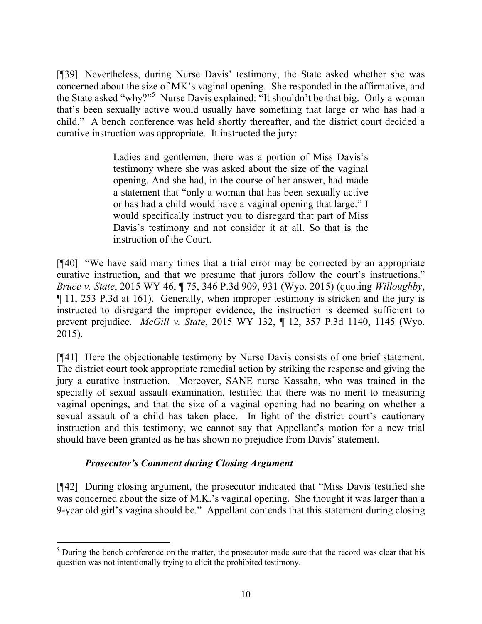[¶39] Nevertheless, during Nurse Davis' testimony, the State asked whether she was concerned about the size of MK's vaginal opening. She responded in the affirmative, and the State asked "why?"<sup>5</sup> Nurse Davis explained: "It shouldn't be that big. Only a woman that's been sexually active would usually have something that large or who has had a child." A bench conference was held shortly thereafter, and the district court decided a curative instruction was appropriate. It instructed the jury:

> Ladies and gentlemen, there was a portion of Miss Davis's testimony where she was asked about the size of the vaginal opening. And she had, in the course of her answer, had made a statement that "only a woman that has been sexually active or has had a child would have a vaginal opening that large." I would specifically instruct you to disregard that part of Miss Davis's testimony and not consider it at all. So that is the instruction of the Court.

[¶40] "We have said many times that a trial error may be corrected by an appropriate curative instruction, and that we presume that jurors follow the court's instructions." *Bruce v. State*, 2015 WY 46, ¶ 75, 346 P.3d 909, 931 (Wyo. 2015) (quoting *Willoughby*, ¶ 11, 253 P.3d at 161). Generally, when improper testimony is stricken and the jury is instructed to disregard the improper evidence, the instruction is deemed sufficient to prevent prejudice. *McGill v. State*, 2015 WY 132, ¶ 12, 357 P.3d 1140, 1145 (Wyo. 2015).

[¶41] Here the objectionable testimony by Nurse Davis consists of one brief statement. The district court took appropriate remedial action by striking the response and giving the jury a curative instruction. Moreover, SANE nurse Kassahn, who was trained in the specialty of sexual assault examination, testified that there was no merit to measuring vaginal openings, and that the size of a vaginal opening had no bearing on whether a sexual assault of a child has taken place. In light of the district court's cautionary instruction and this testimony, we cannot say that Appellant's motion for a new trial should have been granted as he has shown no prejudice from Davis' statement.

## *Prosecutor's Comment during Closing Argument*

[¶42] During closing argument, the prosecutor indicated that "Miss Davis testified she was concerned about the size of M.K.'s vaginal opening. She thought it was larger than a 9-year old girl's vagina should be." Appellant contends that this statement during closing

 $<sup>5</sup>$  During the bench conference on the matter, the prosecutor made sure that the record was clear that his</sup> question was not intentionally trying to elicit the prohibited testimony.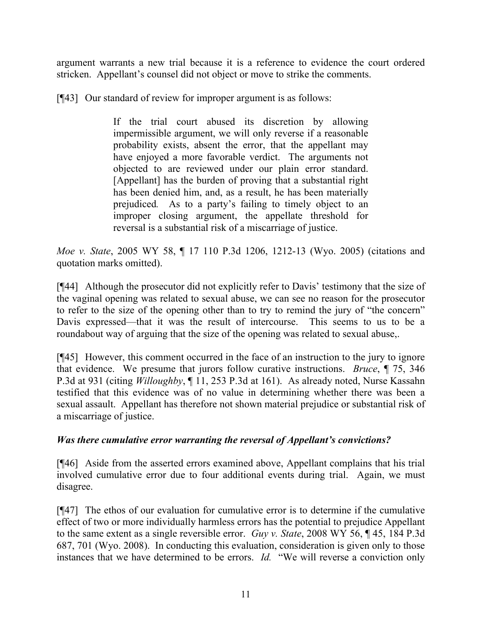argument warrants a new trial because it is a reference to evidence the court ordered stricken. Appellant's counsel did not object or move to strike the comments.

[¶43] Our standard of review for improper argument is as follows:

If the trial court abused its discretion by allowing impermissible argument, we will only reverse if a reasonable probability exists, absent the error, that the appellant may have enjoyed a more favorable verdict. The arguments not objected to are reviewed under our plain error standard. [Appellant] has the burden of proving that a substantial right has been denied him, and, as a result, he has been materially prejudiced*.* As to a party's failing to timely object to an improper closing argument, the appellate threshold for reversal is a substantial risk of a miscarriage of justice.

*Moe v. State*, 2005 WY 58, ¶ 17 110 P.3d 1206, 1212-13 (Wyo. 2005) (citations and quotation marks omitted).

[¶44] Although the prosecutor did not explicitly refer to Davis' testimony that the size of the vaginal opening was related to sexual abuse, we can see no reason for the prosecutor to refer to the size of the opening other than to try to remind the jury of "the concern" Davis expressed—that it was the result of intercourse. This seems to us to be a roundabout way of arguing that the size of the opening was related to sexual abuse,.

[¶45] However, this comment occurred in the face of an instruction to the jury to ignore that evidence. We presume that jurors follow curative instructions. *Bruce*, ¶ 75, 346 P.3d at 931 (citing *Willoughby*, ¶ 11, 253 P.3d at 161). As already noted, Nurse Kassahn testified that this evidence was of no value in determining whether there was been a sexual assault. Appellant has therefore not shown material prejudice or substantial risk of a miscarriage of justice.

## *Was there cumulative error warranting the reversal of Appellant's convictions?*

[¶46] Aside from the asserted errors examined above, Appellant complains that his trial involved cumulative error due to four additional events during trial. Again, we must disagree.

[¶47] The ethos of our evaluation for cumulative error is to determine if the cumulative effect of two or more individually harmless errors has the potential to prejudice Appellant to the same extent as a single reversible error. *Guy v. State*, 2008 WY 56, ¶ 45, 184 P.3d 687, 701 (Wyo. 2008). In conducting this evaluation, consideration is given only to those instances that we have determined to be errors. *Id.* "We will reverse a conviction only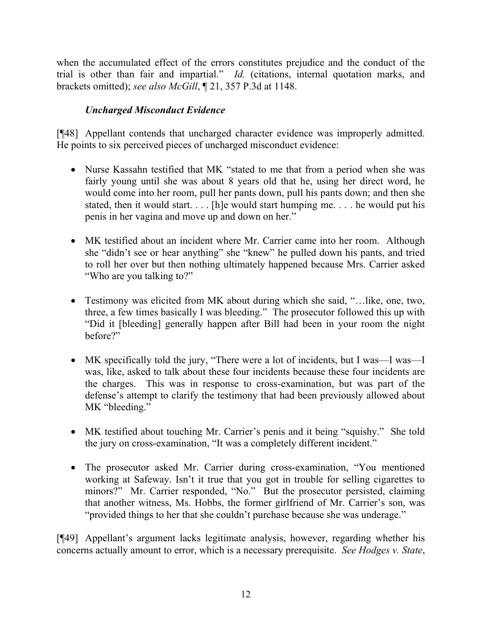when the accumulated effect of the errors constitutes prejudice and the conduct of the trial is other than fair and impartial." *Id.* (citations, internal quotation marks, and brackets omitted); *see also McGill*, ¶ 21, 357 P.3d at 1148.

# *Uncharged Misconduct Evidence*

[¶48] Appellant contends that uncharged character evidence was improperly admitted. He points to six perceived pieces of uncharged misconduct evidence:

- Nurse Kassahn testified that MK "stated to me that from a period when she was fairly young until she was about 8 years old that he, using her direct word, he would come into her room, pull her pants down, pull his pants down; and then she stated, then it would start. . . . [h]e would start humping me. . . . he would put his penis in her vagina and move up and down on her."
- MK testified about an incident where Mr. Carrier came into her room. Although she "didn't see or hear anything" she "knew" he pulled down his pants, and tried to roll her over but then nothing ultimately happened because Mrs. Carrier asked "Who are you talking to?"
- Testimony was elicited from MK about during which she said, "…like, one, two, three, a few times basically I was bleeding." The prosecutor followed this up with "Did it [bleeding] generally happen after Bill had been in your room the night before?"
- MK specifically told the jury, "There were a lot of incidents, but I was—I was—I was, like, asked to talk about these four incidents because these four incidents are the charges. This was in response to cross-examination, but was part of the defense's attempt to clarify the testimony that had been previously allowed about MK "bleeding."
- MK testified about touching Mr. Carrier's penis and it being "squishy." She told the jury on cross-examination, "It was a completely different incident."
- The prosecutor asked Mr. Carrier during cross-examination, "You mentioned working at Safeway. Isn't it true that you got in trouble for selling cigarettes to minors?" Mr. Carrier responded, "No." But the prosecutor persisted, claiming that another witness, Ms. Hobbs, the former girlfriend of Mr. Carrier's son, was "provided things to her that she couldn't purchase because she was underage."

[¶49] Appellant's argument lacks legitimate analysis, however, regarding whether his concerns actually amount to error, which is a necessary prerequisite. *See Hodges v. State*,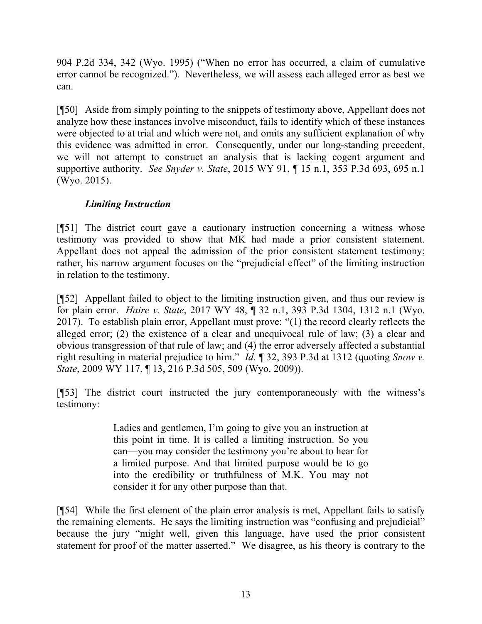904 P.2d 334, 342 (Wyo. 1995) ("When no error has occurred, a claim of cumulative error cannot be recognized."). Nevertheless, we will assess each alleged error as best we can.

[¶50] Aside from simply pointing to the snippets of testimony above, Appellant does not analyze how these instances involve misconduct, fails to identify which of these instances were objected to at trial and which were not, and omits any sufficient explanation of why this evidence was admitted in error. Consequently, under our long-standing precedent, we will not attempt to construct an analysis that is lacking cogent argument and supportive authority. *See Snyder v. State*, 2015 WY 91, ¶ 15 n.1, 353 P.3d 693, 695 n.1 (Wyo. 2015).

# *Limiting Instruction*

[¶51] The district court gave a cautionary instruction concerning a witness whose testimony was provided to show that MK had made a prior consistent statement. Appellant does not appeal the admission of the prior consistent statement testimony; rather, his narrow argument focuses on the "prejudicial effect" of the limiting instruction in relation to the testimony.

[¶52] Appellant failed to object to the limiting instruction given, and thus our review is for plain error. *Haire v. State*, 2017 WY 48, ¶ 32 n.1, 393 P.3d 1304, 1312 n.1 (Wyo. 2017). To establish plain error, Appellant must prove: "(1) the record clearly reflects the alleged error; (2) the existence of a clear and unequivocal rule of law; (3) a clear and obvious transgression of that rule of law; and (4) the error adversely affected a substantial right resulting in material prejudice to him." *Id.* ¶ 32, 393 P.3d at 1312 (quoting *Snow v. State*, 2009 WY 117, ¶ 13, 216 P.3d 505, 509 (Wyo. 2009)).

[¶53] The district court instructed the jury contemporaneously with the witness's testimony:

> Ladies and gentlemen, I'm going to give you an instruction at this point in time. It is called a limiting instruction. So you can—you may consider the testimony you're about to hear for a limited purpose. And that limited purpose would be to go into the credibility or truthfulness of M.K. You may not consider it for any other purpose than that.

[¶54] While the first element of the plain error analysis is met, Appellant fails to satisfy the remaining elements. He says the limiting instruction was "confusing and prejudicial" because the jury "might well, given this language, have used the prior consistent statement for proof of the matter asserted." We disagree, as his theory is contrary to the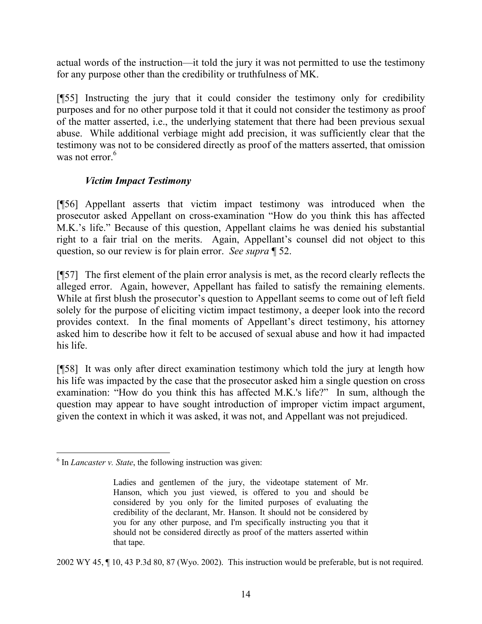actual words of the instruction—it told the jury it was not permitted to use the testimony for any purpose other than the credibility or truthfulness of MK.

[¶55] Instructing the jury that it could consider the testimony only for credibility purposes and for no other purpose told it that it could not consider the testimony as proof of the matter asserted, i.e., the underlying statement that there had been previous sexual abuse. While additional verbiage might add precision, it was sufficiently clear that the testimony was not to be considered directly as proof of the matters asserted, that omission was not error.<sup>6</sup>

## *Victim Impact Testimony*

[¶56] Appellant asserts that victim impact testimony was introduced when the prosecutor asked Appellant on cross-examination "How do you think this has affected M.K.'s life." Because of this question, Appellant claims he was denied his substantial right to a fair trial on the merits. Again, Appellant's counsel did not object to this question, so our review is for plain error. *See supra* ¶ 52.

[¶57] The first element of the plain error analysis is met, as the record clearly reflects the alleged error. Again, however, Appellant has failed to satisfy the remaining elements. While at first blush the prosecutor's question to Appellant seems to come out of left field solely for the purpose of eliciting victim impact testimony, a deeper look into the record provides context. In the final moments of Appellant's direct testimony, his attorney asked him to describe how it felt to be accused of sexual abuse and how it had impacted his life.

[¶58] It was only after direct examination testimony which told the jury at length how his life was impacted by the case that the prosecutor asked him a single question on cross examination: "How do you think this has affected M.K.'s life?" In sum, although the question may appear to have sought introduction of improper victim impact argument, given the context in which it was asked, it was not, and Appellant was not prejudiced.

2002 WY 45, ¶ 10, 43 P.3d 80, 87 (Wyo. 2002). This instruction would be preferable, but is not required.

 6 In *Lancaster v. State*, the following instruction was given:

Ladies and gentlemen of the jury, the videotape statement of Mr. Hanson, which you just viewed, is offered to you and should be considered by you only for the limited purposes of evaluating the credibility of the declarant, Mr. Hanson. It should not be considered by you for any other purpose, and I'm specifically instructing you that it should not be considered directly as proof of the matters asserted within that tape.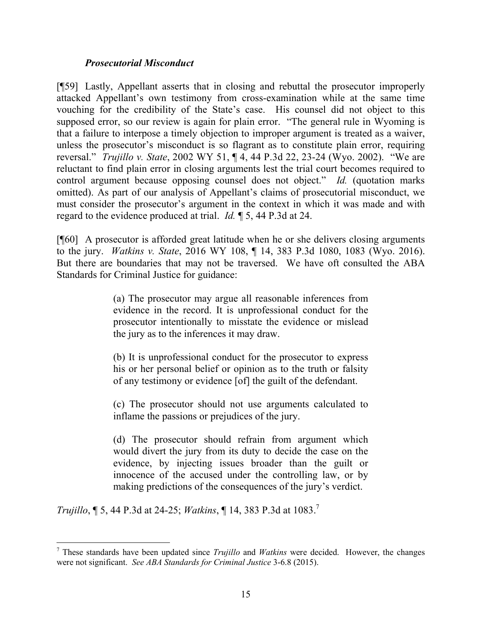#### *Prosecutorial Misconduct*

[¶59] Lastly, Appellant asserts that in closing and rebuttal the prosecutor improperly attacked Appellant's own testimony from cross-examination while at the same time vouching for the credibility of the State's case. His counsel did not object to this supposed error, so our review is again for plain error. "The general rule in Wyoming is that a failure to interpose a timely objection to improper argument is treated as a waiver, unless the prosecutor's misconduct is so flagrant as to constitute plain error, requiring reversal." *Trujillo v. State*, 2002 WY 51, ¶ 4, 44 P.3d 22, 23-24 (Wyo. 2002). "We are reluctant to find plain error in closing arguments lest the trial court becomes required to control argument because opposing counsel does not object." *Id.* (quotation marks omitted). As part of our analysis of Appellant's claims of prosecutorial misconduct, we must consider the prosecutor's argument in the context in which it was made and with regard to the evidence produced at trial. *Id.* ¶ 5, 44 P.3d at 24.

[¶60] A prosecutor is afforded great latitude when he or she delivers closing arguments to the jury. *Watkins v. State*, 2016 WY 108, ¶ 14, 383 P.3d 1080, 1083 (Wyo. 2016). But there are boundaries that may not be traversed. We have oft consulted the ABA Standards for Criminal Justice for guidance:

> (a) The prosecutor may argue all reasonable inferences from evidence in the record. It is unprofessional conduct for the prosecutor intentionally to misstate the evidence or mislead the jury as to the inferences it may draw.

> (b) It is unprofessional conduct for the prosecutor to express his or her personal belief or opinion as to the truth or falsity of any testimony or evidence [of] the guilt of the defendant.

> (c) The prosecutor should not use arguments calculated to inflame the passions or prejudices of the jury.

> (d) The prosecutor should refrain from argument which would divert the jury from its duty to decide the case on the evidence, by injecting issues broader than the guilt or innocence of the accused under the controlling law, or by making predictions of the consequences of the jury's verdict.

*Trujillo*, ¶ 5, 44 P.3d at 24-25; *Watkins*, ¶ 14, 383 P.3d at 1083.<sup>7</sup>

<sup>7</sup> These standards have been updated since *Trujillo* and *Watkins* were decided. However, the changes were not significant. *See ABA Standards for Criminal Justice* 3-6.8 (2015).